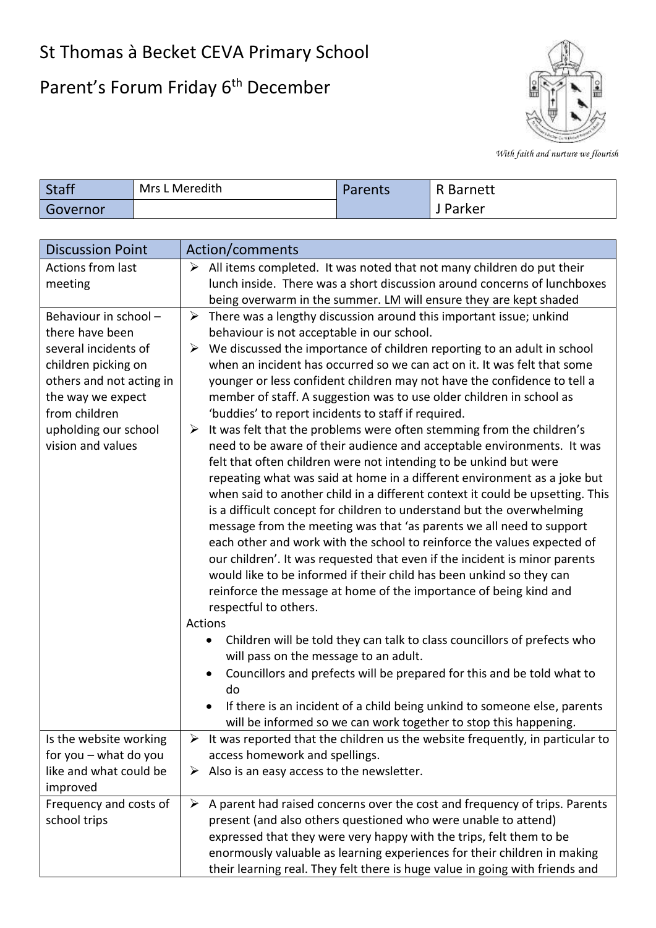## St Thomas à Becket CEVA Primary School

## Parent's Forum Friday 6<sup>th</sup> December



*With faith and nurture we flourish*

| <b>Staff</b> | Mrs L Meredith | Parents | R Barnett |
|--------------|----------------|---------|-----------|
| Governor     |                |         | Parker    |
|              |                |         |           |

| <b>Discussion Point</b>            | Action/comments                                                                                                                   |
|------------------------------------|-----------------------------------------------------------------------------------------------------------------------------------|
| Actions from last                  | $\triangleright$ All items completed. It was noted that not many children do put their                                            |
| meeting                            | lunch inside. There was a short discussion around concerns of lunchboxes                                                          |
|                                    | being overwarm in the summer. LM will ensure they are kept shaded                                                                 |
| Behaviour in school -              | $\blacktriangleright$<br>There was a lengthy discussion around this important issue; unkind                                       |
| there have been                    | behaviour is not acceptable in our school.                                                                                        |
| several incidents of               | We discussed the importance of children reporting to an adult in school<br>➤                                                      |
| children picking on                | when an incident has occurred so we can act on it. It was felt that some                                                          |
| others and not acting in           | younger or less confident children may not have the confidence to tell a                                                          |
| the way we expect<br>from children | member of staff. A suggestion was to use older children in school as                                                              |
| upholding our school               | 'buddies' to report incidents to staff if required.<br>It was felt that the problems were often stemming from the children's<br>➤ |
| vision and values                  | need to be aware of their audience and acceptable environments. It was                                                            |
|                                    | felt that often children were not intending to be unkind but were                                                                 |
|                                    | repeating what was said at home in a different environment as a joke but                                                          |
|                                    | when said to another child in a different context it could be upsetting. This                                                     |
|                                    | is a difficult concept for children to understand but the overwhelming                                                            |
|                                    | message from the meeting was that 'as parents we all need to support                                                              |
|                                    | each other and work with the school to reinforce the values expected of                                                           |
|                                    | our children'. It was requested that even if the incident is minor parents                                                        |
|                                    | would like to be informed if their child has been unkind so they can                                                              |
|                                    | reinforce the message at home of the importance of being kind and                                                                 |
|                                    | respectful to others.                                                                                                             |
|                                    | Actions                                                                                                                           |
|                                    | Children will be told they can talk to class councillors of prefects who                                                          |
|                                    | will pass on the message to an adult.                                                                                             |
|                                    | Councillors and prefects will be prepared for this and be told what to                                                            |
|                                    | do                                                                                                                                |
|                                    | If there is an incident of a child being unkind to someone else, parents                                                          |
|                                    | will be informed so we can work together to stop this happening.                                                                  |
| Is the website working             | It was reported that the children us the website frequently, in particular to                                                     |
| for you - what do you              | access homework and spellings.                                                                                                    |
| like and what could be             | Also is an easy access to the newsletter.<br>➤                                                                                    |
| improved                           |                                                                                                                                   |
| Frequency and costs of             | A parent had raised concerns over the cost and frequency of trips. Parents<br>➤                                                   |
| school trips                       | present (and also others questioned who were unable to attend)                                                                    |
|                                    | expressed that they were very happy with the trips, felt them to be                                                               |
|                                    | enormously valuable as learning experiences for their children in making                                                          |
|                                    | their learning real. They felt there is huge value in going with friends and                                                      |